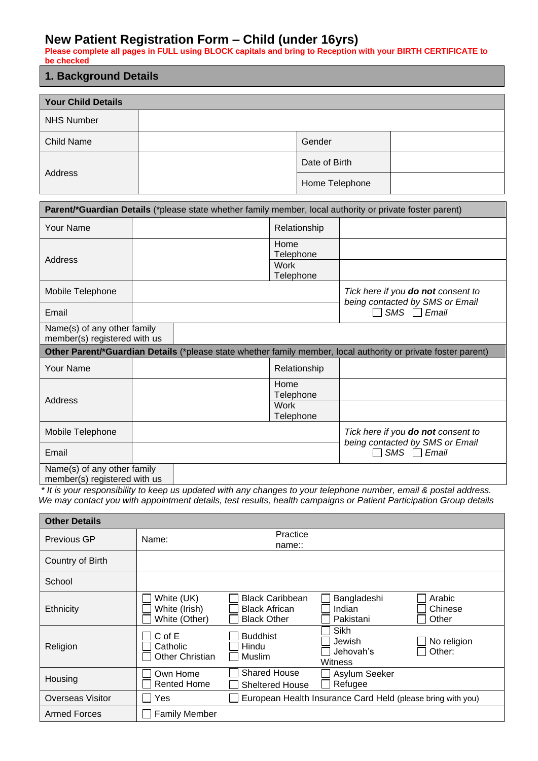# **New Patient Registration Form – Child (under 16yrs)**

**Please complete all pages in FULL using BLOCK capitals and bring to Reception with your BIRTH CERTIFICATE to be checked**

# **1. Background Details**

| <b>Your Child Details</b> |                |  |
|---------------------------|----------------|--|
| <b>NHS Number</b>         |                |  |
| Child Name                | Gender         |  |
|                           | Date of Birth  |  |
| Address                   | Home Telephone |  |

|                                                             | Parent/*Guardian Details (*please state whether family member, local authority or private foster parent) |                          |                                                                                                                |  |  |
|-------------------------------------------------------------|----------------------------------------------------------------------------------------------------------|--------------------------|----------------------------------------------------------------------------------------------------------------|--|--|
| Your Name                                                   |                                                                                                          | Relationship             |                                                                                                                |  |  |
| Address                                                     |                                                                                                          | Home<br>Telephone        |                                                                                                                |  |  |
|                                                             |                                                                                                          | Work<br>Telephone        |                                                                                                                |  |  |
| Mobile Telephone                                            |                                                                                                          |                          | Tick here if you <b>do not</b> consent to<br>being contacted by SMS or Email                                   |  |  |
| Email                                                       |                                                                                                          |                          | $SMS \Box Email$                                                                                               |  |  |
| Name(s) of any other family<br>member(s) registered with us |                                                                                                          |                          |                                                                                                                |  |  |
|                                                             |                                                                                                          |                          | Other Parent/*Guardian Details (*please state whether family member, local authority or private foster parent) |  |  |
| <b>Your Name</b>                                            |                                                                                                          | Relationship             |                                                                                                                |  |  |
| Address                                                     |                                                                                                          | Home                     |                                                                                                                |  |  |
|                                                             |                                                                                                          | Telephone                |                                                                                                                |  |  |
|                                                             |                                                                                                          | <b>Work</b><br>Telephone |                                                                                                                |  |  |
| Mobile Telephone                                            |                                                                                                          |                          | Tick here if you <b>do not</b> consent to                                                                      |  |  |
| Email                                                       |                                                                                                          |                          | being contacted by SMS or Email<br>$SMS \Box Email$                                                            |  |  |

*\* It is your responsibility to keep us updated with any changes to your telephone number, email & postal address. We may contact you with appointment details, test results, health campaigns or Patient Participation Group details*

| <b>Other Details</b>    |                                              |                                                                      |                                                             |                            |
|-------------------------|----------------------------------------------|----------------------------------------------------------------------|-------------------------------------------------------------|----------------------------|
| Previous GP             | Name:                                        | Practice<br>name::                                                   |                                                             |                            |
| Country of Birth        |                                              |                                                                      |                                                             |                            |
| School                  |                                              |                                                                      |                                                             |                            |
| <b>Ethnicity</b>        | White (UK)<br>White (Irish)<br>White (Other) | <b>Black Caribbean</b><br><b>Black African</b><br><b>Black Other</b> | Bangladeshi<br>Indian<br>Pakistani                          | Arabic<br>Chinese<br>Other |
| Religion                | C of E<br>Catholic<br>Other Christian        | <b>Buddhist</b><br>Hindu<br>Muslim                                   | Sikh<br>Jewish<br>Jehovah's<br>Witness                      | No religion<br>Other:      |
| Housing                 | Own Home<br>Rented Home                      | <b>Shared House</b><br><b>Sheltered House</b>                        | Asylum Seeker<br>Refugee                                    |                            |
| <b>Overseas Visitor</b> | Yes                                          |                                                                      | European Health Insurance Card Held (please bring with you) |                            |
| <b>Armed Forces</b>     | <b>Family Member</b>                         |                                                                      |                                                             |                            |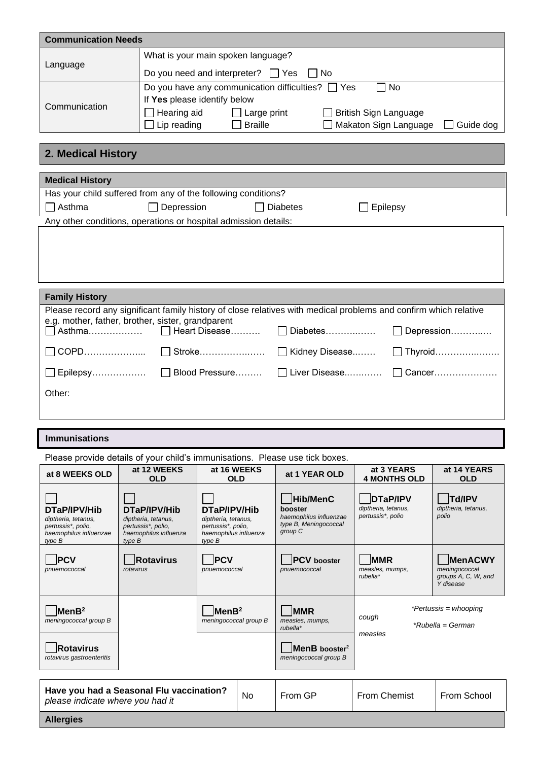| <b>Communication Needs</b> |                                                                                                                  |                              |            |  |  |  |  |
|----------------------------|------------------------------------------------------------------------------------------------------------------|------------------------------|------------|--|--|--|--|
|                            | What is your main spoken language?                                                                               |                              |            |  |  |  |  |
| Language                   | Do you need and interpreter? $\Box$ Yes                                                                          | l INo                        |            |  |  |  |  |
|                            | Do you have any communication difficulties? $\Box$ Yes                                                           |                              | 7 No       |  |  |  |  |
|                            | If Yes please identify below                                                                                     |                              |            |  |  |  |  |
| Communication              | Hearing aid<br>$\Box$ Large print                                                                                | <b>British Sign Language</b> |            |  |  |  |  |
|                            | Lip reading<br><b>Braille</b>                                                                                    | Makaton Sign Language        | Guide dog  |  |  |  |  |
|                            |                                                                                                                  |                              |            |  |  |  |  |
| 2. Medical History         |                                                                                                                  |                              |            |  |  |  |  |
|                            |                                                                                                                  |                              |            |  |  |  |  |
| <b>Medical History</b>     |                                                                                                                  |                              |            |  |  |  |  |
|                            | Has your child suffered from any of the following conditions?                                                    |                              |            |  |  |  |  |
| $\Box$ Asthma              | $\Box$ Depression<br><b>Diabetes</b><br>Epilepsy                                                                 |                              |            |  |  |  |  |
|                            | Any other conditions, operations or hospital admission details:                                                  |                              |            |  |  |  |  |
|                            |                                                                                                                  |                              |            |  |  |  |  |
|                            |                                                                                                                  |                              |            |  |  |  |  |
|                            |                                                                                                                  |                              |            |  |  |  |  |
|                            |                                                                                                                  |                              |            |  |  |  |  |
| <b>Family History</b>      |                                                                                                                  |                              |            |  |  |  |  |
|                            | Please record any significant family history of close relatives with medical problems and confirm which relative |                              |            |  |  |  |  |
|                            | e.g. mother, father, brother, sister, grandparent                                                                |                              |            |  |  |  |  |
|                            | Asthma □ Heart Disease                                                                                           | Diabetes                     | Depression |  |  |  |  |
| COPD                       | $\vert\vert$ Stroke                                                                                              | Kidney Disease               | Thyroid    |  |  |  |  |
|                            |                                                                                                                  | Liver Disease                | Cancer     |  |  |  |  |
| Other:                     |                                                                                                                  |                              |            |  |  |  |  |

#### **Immunisations**

| Please provide details of your child's immunisations. Please use tick boxes.                  |                                                                                              |                                                                                              |  |                                                                                   |                                                             |                                                                     |
|-----------------------------------------------------------------------------------------------|----------------------------------------------------------------------------------------------|----------------------------------------------------------------------------------------------|--|-----------------------------------------------------------------------------------|-------------------------------------------------------------|---------------------------------------------------------------------|
| at 8 WEEKS OLD                                                                                | at 12 WEEKS<br><b>OLD</b>                                                                    | at 16 WEEKS<br><b>OLD</b>                                                                    |  | at 1 YEAR OLD                                                                     | at 3 YEARS<br><b>4 MONTHS OLD</b>                           | at 14 YEARS<br><b>OLD</b>                                           |
| DTaP/IPV/Hib<br>diptheria, tetanus,<br>pertussis*, polio,<br>haemophilus influenzae<br>type B | DTaP/IPV/Hib<br>diptheria, tetanus,<br>pertussis*, polio,<br>haemophilus influenza<br>type B | DTaP/IPV/Hib<br>diptheria, tetanus,<br>pertussis*, polio,<br>haemophilus influenza<br>type B |  | Hib/MenC<br>booster<br>haemophilus influenzae<br>type B, Meningococcal<br>group C | <b>DTaP/IPV</b><br>diptheria, tetanus,<br>pertussis*, polio | <b>Td/IPV</b><br>diptheria, tetanus,<br>polio                       |
| <b>IPCV</b><br>pnuemococcal                                                                   | Rotavirus<br>rotavirus                                                                       | <b>IPCV</b><br>pnuemococcal                                                                  |  | <b>PCV</b> booster<br>pnuemococcal                                                | <b>MMR</b><br>measles, mumps,<br>$rubella*$                 | <b>MenACWY</b><br>meningococcal<br>groups A, C, W, and<br>Y disease |
| MenB <sup>2</sup><br>meningococcal group B<br><b>Rotavirus</b>                                |                                                                                              | $ $ MenB <sup>2</sup><br>meningococcal group B                                               |  | <b>MMR</b><br>measles, mumps,<br>$rubella*$<br>MenB booster <sup>2</sup>          | cough<br>measles                                            | <i>*Pertussis</i> = whooping<br>*Rubella = German                   |
| rotavirus gastroenteritis                                                                     |                                                                                              |                                                                                              |  | meningococcal group B                                                             |                                                             |                                                                     |
| Have you had a Seasonal Flu vaccination?<br>No<br>please indicate where you had it            |                                                                                              |                                                                                              |  | From GP                                                                           | From Chemist                                                | From School                                                         |
| <b>Allergies</b>                                                                              |                                                                                              |                                                                                              |  |                                                                                   |                                                             |                                                                     |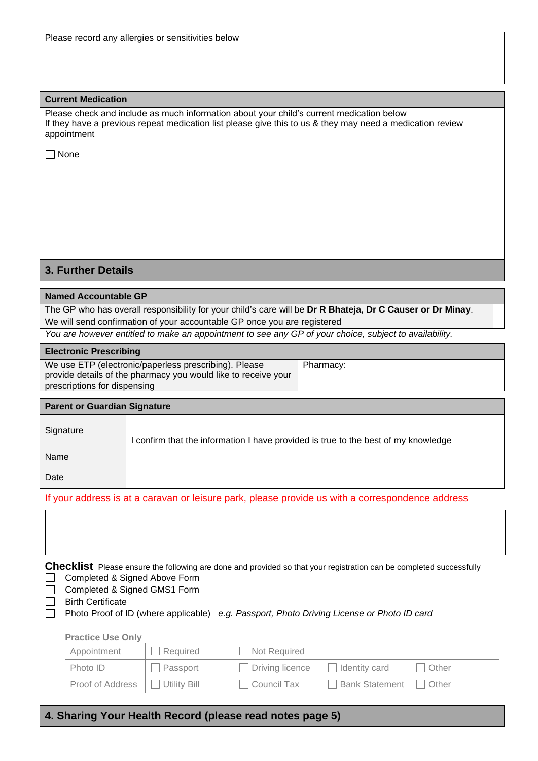|  | Please record any allergies or sensitivities below |  |
|--|----------------------------------------------------|--|
|  |                                                    |  |

#### **Current Medication**

Please check and include as much information about your child's current medication below If they have a previous repeat medication list please give this to us & they may need a medication review appointment

 $\Box$  None

## **3. Further Details**

#### **Named Accountable GP**

The GP who has overall responsibility for your child's care will be **Dr R Bhateja, Dr C Causer or Dr Minay**. We will send confirmation of your accountable GP once you are registered

*You are however entitled to make an appointment to see any GP of your choice, subject to availability.*

| <b>Electronic Prescribing</b>                                  |           |
|----------------------------------------------------------------|-----------|
| We use ETP (electronic/paperless prescribing). Please          | Pharmacy: |
| provide details of the pharmacy you would like to receive your |           |
| prescriptions for dispensing                                   |           |

| <b>Parent or Guardian Signature</b> |                                                                                  |
|-------------------------------------|----------------------------------------------------------------------------------|
| Signature                           | confirm that the information I have provided is true to the best of my knowledge |
| Name                                |                                                                                  |
| Date                                |                                                                                  |

If your address is at a caravan or leisure park, please provide us with a correspondence address

|  |                                 |  |  | Checklist Please ensure the following are done and provided so that your registration can be completed successfully |
|--|---------------------------------|--|--|---------------------------------------------------------------------------------------------------------------------|
|  | □ Completed & Signed Above Form |  |  |                                                                                                                     |

□ Completed & Signed GMS1 Form

**Birth Certificate** 

Photo Proof of ID (where applicable) *e.g. Passport, Photo Driving License or Photo ID card*

| <b>Practice Use Only</b> |              |                        |                |       |
|--------------------------|--------------|------------------------|----------------|-------|
| Appointment              | Required     | Not Required           |                |       |
| Photo ID                 | Passport     | $\Box$ Driving licence | Identity card  | Other |
| Proof of Address         | Utility Bill | Council Tax            | Bank Statement | Other |

### **4. Sharing Your Health Record (please read notes page 5)**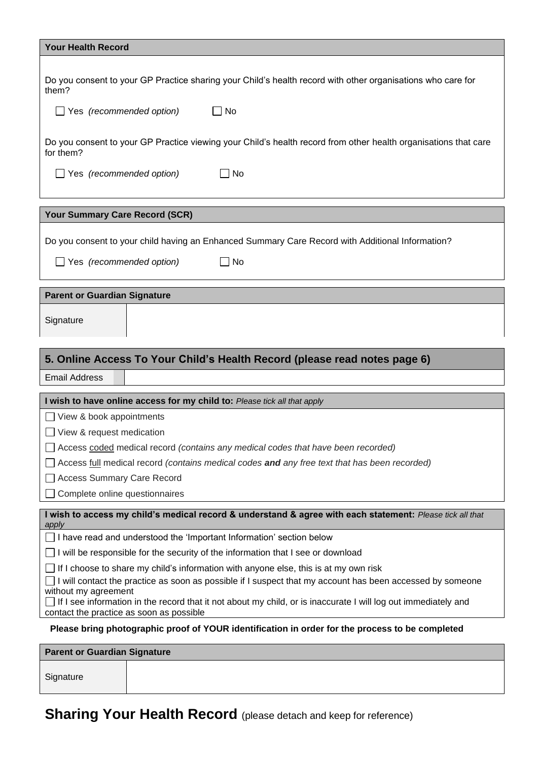| <b>Your Health Record</b>                                                                                                                                                          |
|------------------------------------------------------------------------------------------------------------------------------------------------------------------------------------|
|                                                                                                                                                                                    |
| Do you consent to your GP Practice sharing your Child's health record with other organisations who care for<br>them?                                                               |
| $\Box$ Yes (recommended option)<br>$\Box$ No                                                                                                                                       |
| Do you consent to your GP Practice viewing your Child's health record from other health organisations that care<br>for them?                                                       |
| $\Box$ Yes (recommended option)<br>l INo                                                                                                                                           |
| Your Summary Care Record (SCR)                                                                                                                                                     |
| Do you consent to your child having an Enhanced Summary Care Record with Additional Information?                                                                                   |
| $\Box$ Yes (recommended option)<br>No                                                                                                                                              |
| <b>Parent or Guardian Signature</b>                                                                                                                                                |
| Signature                                                                                                                                                                          |
| 5. Online Access To Your Child's Health Record (please read notes page 6)                                                                                                          |
| <b>Email Address</b>                                                                                                                                                               |
| I wish to have online access for my child to: Please tick all that apply                                                                                                           |
| View & book appointments                                                                                                                                                           |
| View & request medication                                                                                                                                                          |
| Access coded medical record (contains any medical codes that have been recorded)                                                                                                   |
| Access full medical record (contains medical codes and any free text that has been recorded)                                                                                       |
| <b>Access Summary Care Record</b>                                                                                                                                                  |
| Complete online questionnaires                                                                                                                                                     |
| I wish to access my child's medical record & understand & agree with each statement: Please tick all that<br>apply                                                                 |
|                                                                                                                                                                                    |
| I have read and understood the 'Important Information' section below                                                                                                               |
| I will be responsible for the security of the information that I see or download                                                                                                   |
| If I choose to share my child's information with anyone else, this is at my own risk                                                                                               |
| I will contact the practice as soon as possible if I suspect that my account has been accessed by someone                                                                          |
| without my agreement<br>If I see information in the record that it not about my child, or is inaccurate I will log out immediately and<br>contact the practice as soon as possible |
| Please bring photographic proof of YOUR identification in order for the process to be completed                                                                                    |
| <b>Parent or Guardian Signature</b>                                                                                                                                                |

**Sharing Your Health Record** (please detach and keep for reference)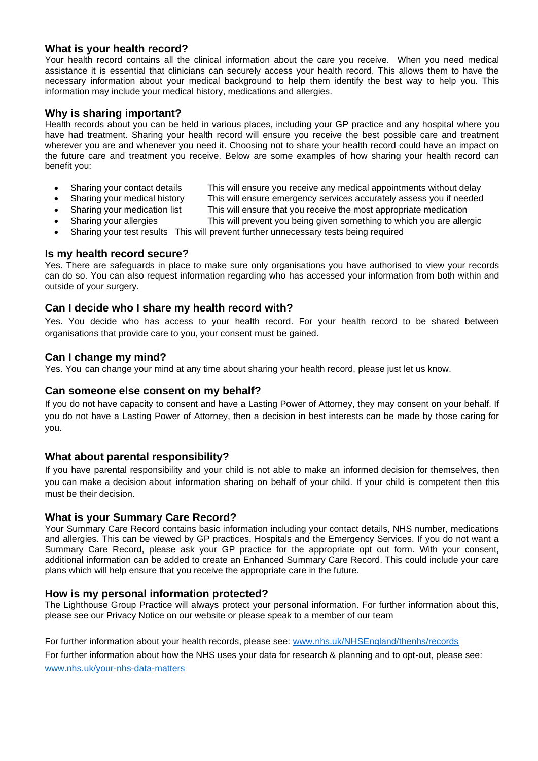# **What is your health record?**

Your health record contains all the clinical information about the care you receive. When you need medical assistance it is essential that clinicians can securely access your health record. This allows them to have the necessary information about your medical background to help them identify the best way to help you. This information may include your medical history, medications and allergies.

## **Why is sharing important?**

Health records about you can be held in various places, including your GP practice and any hospital where you have had treatment. Sharing your health record will ensure you receive the best possible care and treatment wherever you are and whenever you need it. Choosing not to share your health record could have an impact on the future care and treatment you receive. Below are some examples of how sharing your health record can benefit you:

- Sharing your contact details This will ensure you receive any medical appointments without delay
	- Sharing your medical history This will ensure emergency services accurately assess you if needed
- 
- Sharing your medication list This will ensure that you receive the most appropriate medication
- - Sharing your allergies This will prevent you being given something to which you are allergic
- Sharing your test results This will prevent further unnecessary tests being required

## **Is my health record secure?**

Yes. There are safeguards in place to make sure only organisations you have authorised to view your records can do so. You can also request information regarding who has accessed your information from both within and outside of your surgery.

# **Can I decide who I share my health record with?**

Yes. You decide who has access to your health record. For your health record to be shared between organisations that provide care to you, your consent must be gained.

# **Can I change my mind?**

Yes. You can change your mind at any time about sharing your health record, please just let us know.

#### **Can someone else consent on my behalf?**

If you do not have capacity to consent and have a Lasting Power of Attorney, they may consent on your behalf. If you do not have a Lasting Power of Attorney, then a decision in best interests can be made by those caring for you.

#### **What about parental responsibility?**

If you have parental responsibility and your child is not able to make an informed decision for themselves, then you can make a decision about information sharing on behalf of your child. If your child is competent then this must be their decision.

# **What is your Summary Care Record?**

Your Summary Care Record contains basic information including your contact details, NHS number, medications and allergies. This can be viewed by GP practices, Hospitals and the Emergency Services. If you do not want a Summary Care Record, please ask your GP practice for the appropriate opt out form. With your consent, additional information can be added to create an Enhanced Summary Care Record. This could include your care plans which will help ensure that you receive the appropriate care in the future.

#### **How is my personal information protected?**

The Lighthouse Group Practice will always protect your personal information. For further information about this, please see our Privacy Notice on our website or please speak to a member of our team

For further information about your health records, please see: www.nhs.uk/NHSEngland/thenhs/records

For further information about how the NHS uses your data for research & planning and to opt-out, please see: [www.nhs.uk/your-nhs-data-matters](http://www.nhs.uk/your-nhs-data-matters)